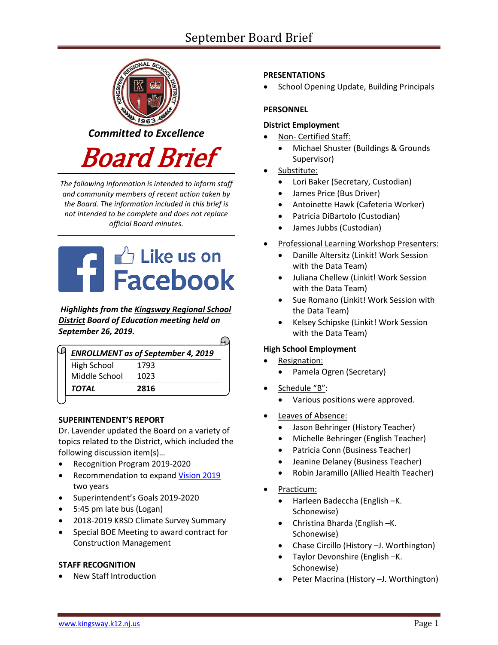# September Board Brief



*The following information is intended to inform staff and community members of recent action taken by the Board. The information included in this brief is not intended to be complete and does not replace official Board minutes.*



*Highlights from the [Kingsway Regional School](https://www.facebook.com/KingswayDragons)  [District](https://www.facebook.com/KingswayDragons) Board of Education meeting held on September 26, 2019.*

|               | <b>ENROLLMENT as of September 4, 2019</b> |
|---------------|-------------------------------------------|
| High School   | 1793                                      |
| Middle School | 1023                                      |
| TOTAL         | 2816                                      |

## **SUPERINTENDENT'S REPORT**

Dr. Lavender updated the Board on a variety of topics related to the District, which included the following discussion item(s)…

- Recognition Program 2019-2020
- Recommendation to expand [Vision 2019](https://www.krsd.org/Page/1202) two years
- Superintendent's Goals 2019-2020
- 5:45 pm late bus (Logan)
- 2018-2019 KRSD Climate Survey Summary
- Special BOE Meeting to award contract for Construction Management

## **STAFF RECOGNITION**

New Staff Introduction

## **PRESENTATIONS**

School Opening Update, Building Principals

## **PERSONNEL**

## **District Employment**

- Non- Certified Staff:
	- Michael Shuster (Buildings & Grounds Supervisor)
- Substitute:
	- Lori Baker (Secretary, Custodian)
	- James Price (Bus Driver)
	- Antoinette Hawk (Cafeteria Worker)
	- Patricia DiBartolo (Custodian)
	- James Jubbs (Custodian)
- Professional Learning Workshop Presenters:
	- Danille Altersitz (Linkit! Work Session with the Data Team)
	- Juliana Chellew (Linkit! Work Session with the Data Team)
	- Sue Romano (Linkit! Work Session with the Data Team)
	- Kelsey Schipske (Linkit! Work Session with the Data Team)

## **High School Employment**

Resignation:

 $\bigcap$ 

- Pamela Ogren (Secretary)
- Schedule "B":
	- Various positions were approved.
- Leaves of Absence:
	- Jason Behringer (History Teacher)
	- Michelle Behringer (English Teacher)
	- Patricia Conn (Business Teacher)
	- Jeanine Delaney (Business Teacher)
	- Robin Jaramillo (Allied Health Teacher)
- Practicum:
	- Harleen Badeccha (English –K. Schonewise)
	- Christina Bharda (English –K. Schonewise)
	- Chase Circillo (History –J. Worthington)
	- Taylor Devonshire (English –K. Schonewise)
	- Peter Macrina (History –J. Worthington)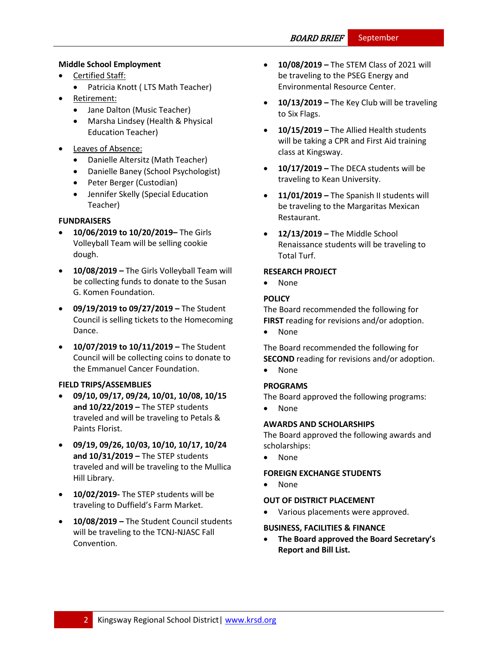## **Middle School Employment**

- Certified Staff:
	- Patricia Knott (LTS Math Teacher)
- Retirement:
	- Jane Dalton (Music Teacher)
	- Marsha Lindsey (Health & Physical Education Teacher)
- Leaves of Absence:
	- Danielle Altersitz (Math Teacher)
	- Danielle Baney (School Psychologist)
	- Peter Berger (Custodian)
	- Jennifer Skelly (Special Education Teacher)

#### **FUNDRAISERS**

- **10/06/2019 to 10/20/2019–** The Girls Volleyball Team will be selling cookie dough.
- **10/08/2019 –** The Girls Volleyball Team will be collecting funds to donate to the Susan G. Komen Foundation.
- **09/19/2019 to 09/27/2019 –** The Student Council is selling tickets to the Homecoming Dance.
- **10/07/2019 to 10/11/2019 –** The Student Council will be collecting coins to donate to the Emmanuel Cancer Foundation.

#### **FIELD TRIPS/ASSEMBLIES**

- **09/10, 09/17, 09/24, 10/01, 10/08, 10/15 and 10/22/2019 –** The STEP students traveled and will be traveling to Petals & Paints Florist.
- **09/19, 09/26, 10/03, 10/10, 10/17, 10/24 and 10/31/2019 –** The STEP students traveled and will be traveling to the Mullica Hill Library.
- **10/02/2019-** The STEP students will be traveling to Duffield's Farm Market.
- **10/08/2019 –** The Student Council students will be traveling to the TCNJ-NJASC Fall Convention.
- **10/08/2019 –** The STEM Class of 2021 will be traveling to the PSEG Energy and Environmental Resource Center.
- **10/13/2019 –** The Key Club will be traveling to Six Flags.
- **10/15/2019 –** The Allied Health students will be taking a CPR and First Aid training class at Kingsway.
- **10/17/2019 –** The DECA students will be traveling to Kean University.
- **11/01/2019 –** The Spanish II students will be traveling to the Margaritas Mexican Restaurant.
- **12/13/2019 –** The Middle School Renaissance students will be traveling to Total Turf.

## **RESEARCH PROJECT**

None

#### **[POLICY](http://www.straussesmay.com/seportal/Public/DistrictPolicyTOC.aspx?id=f0cc945ef3894b8d9ad5f87d948ca425&PolicyID=)**

The Board recommended the following for **FIRST** reading for revisions and/or adoption.

• None

The Board recommended the following for **SECOND** reading for revisions and/or adoption.

None

## **PROGRAMS**

The Board approved the following programs:

None

## **AWARDS AND SCHOLARSHIPS**

The Board approved the following awards and scholarships:

None

#### **FOREIGN EXCHANGE STUDENTS**

• None

#### **OUT OF DISTRICT PLACEMENT**

Various placements were approved.

#### **BUSINESS, FACILITIES & FINANCE**

 **The Board approved the Board Secretary's Report and Bill List.**